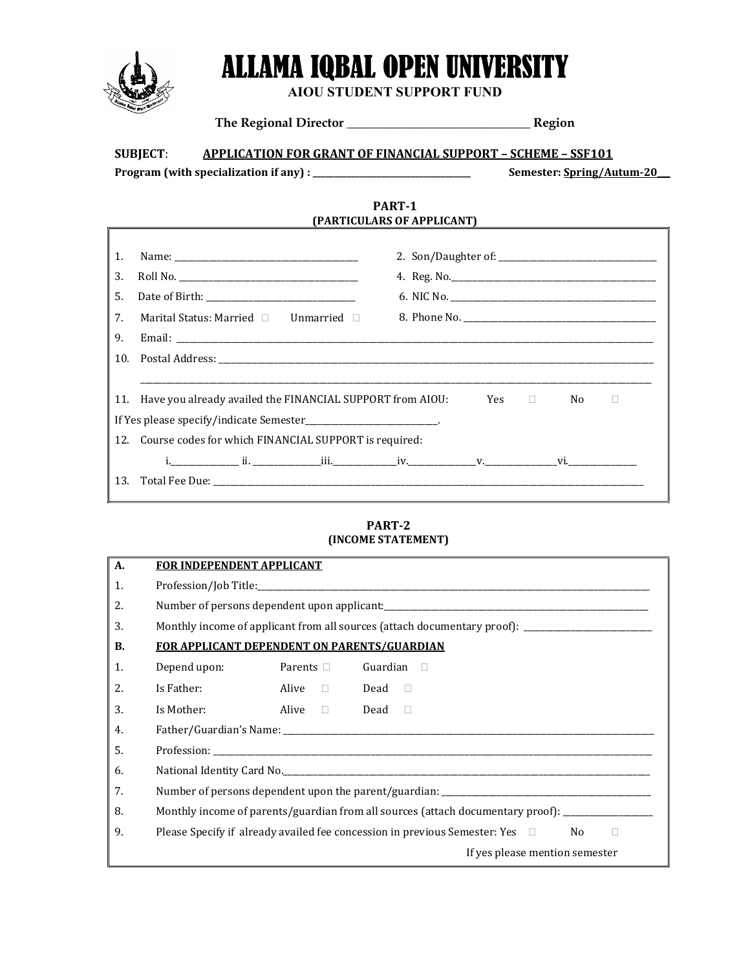

 $\overline{\Gamma}$ 

# ALLAMA IQBAL OPEN UNIVERSITY

AIOU STUDENT SUPPORT FUND

The Regional Director \_\_\_\_\_\_\_\_\_\_\_\_\_\_\_\_\_\_\_\_\_\_\_\_\_\_\_\_\_ Region

SUBJECT: APPLICATION FOR GRANT OF FINANCIAL SUPPORT – SCHEME – SSF101

Program (with specialization if any) : \_\_\_\_\_\_\_\_\_\_\_\_\_\_\_\_\_\_\_\_\_\_\_\_\_\_\_\_\_\_\_\_\_\_\_\_\_ Semester: Spring/Autum-20\_\_\_

### PART-1 (PARTICULARS OF APPLICANT)

| 1.                                                                      |                                                                                       |  |  |  |  |  |  |
|-------------------------------------------------------------------------|---------------------------------------------------------------------------------------|--|--|--|--|--|--|
| 3.                                                                      |                                                                                       |  |  |  |  |  |  |
| .5.                                                                     |                                                                                       |  |  |  |  |  |  |
| 7.                                                                      | Marital Status: Married $\Box$ Unmarried $\Box$                                       |  |  |  |  |  |  |
| 9.                                                                      |                                                                                       |  |  |  |  |  |  |
|                                                                         |                                                                                       |  |  |  |  |  |  |
|                                                                         |                                                                                       |  |  |  |  |  |  |
|                                                                         | 11. Have you already availed the FINANCIAL SUPPORT from AIOU:<br>Yes □<br>No results. |  |  |  |  |  |  |
| If Yes please specify/indicate Semester_______________________________. |                                                                                       |  |  |  |  |  |  |
|                                                                         | 12. Course codes for which FINANCIAL SUPPORT is required:                             |  |  |  |  |  |  |
|                                                                         |                                                                                       |  |  |  |  |  |  |
|                                                                         |                                                                                       |  |  |  |  |  |  |
|                                                                         |                                                                                       |  |  |  |  |  |  |

## PART-2 (INCOME STATEMENT)

| A.        | <b>FOR INDEPENDENT APPLICANT</b>                                                                            |                                 |  |  |  |  |
|-----------|-------------------------------------------------------------------------------------------------------------|---------------------------------|--|--|--|--|
| 1.        |                                                                                                             |                                 |  |  |  |  |
| 2.        |                                                                                                             |                                 |  |  |  |  |
| 3.        | Monthly income of applicant from all sources (attach documentary proof): __________________________         |                                 |  |  |  |  |
| <b>B.</b> | <b>FOR APPLICANT DEPENDENT ON PARENTS/GUARDIAN</b>                                                          |                                 |  |  |  |  |
| 1.        | Depend upon:                                                                                                | Parents □<br>Guardian<br>$\Box$ |  |  |  |  |
| 2.        | Is Father:                                                                                                  | Alive Dead D                    |  |  |  |  |
| 3.        | Is Mother:                                                                                                  | Alive D<br>Dead<br>$\Box$       |  |  |  |  |
| 4.        |                                                                                                             |                                 |  |  |  |  |
| .5.       |                                                                                                             |                                 |  |  |  |  |
| 6.        |                                                                                                             |                                 |  |  |  |  |
| 7.        |                                                                                                             |                                 |  |  |  |  |
| 8.        | Monthly income of parents/guardian from all sources (attach documentary proof): ___________________         |                                 |  |  |  |  |
| 9.        | Please Specify if already availed fee concession in previous Semester: Yes $\square$<br>No.<br>$\mathbf{L}$ |                                 |  |  |  |  |
|           | If yes please mention semester                                                                              |                                 |  |  |  |  |